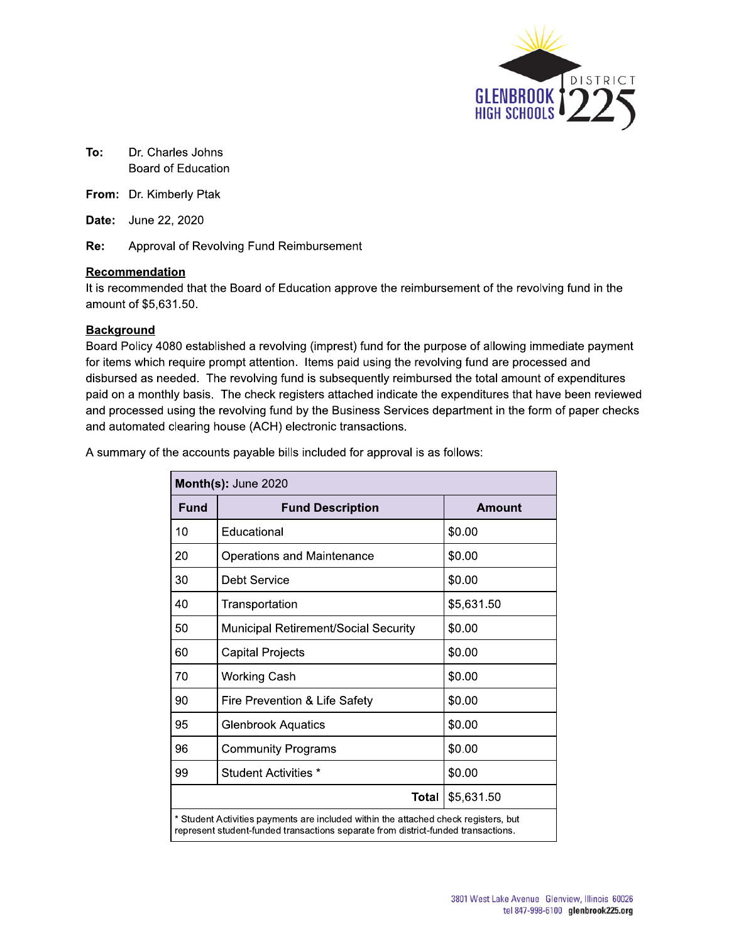

- To: Dr. Charles Johns Board of Education
- From: Dr. Kimberly Ptak
- **Date:** June 22, 2020

Re: Approval of Revolving Fund Reimbursement

#### Recommendation

It is recommended that the Board of Education approve the reimbursement of the revolving fund in the amount of \$5,631.50.

### **Background**

Board Policy 4080 established a revolving (imprest) fund for the purpose of allowing immediate payment for items which require prompt attention. Items paid using the revolving fund are processed and disbursed as needed. The revolving fund is subsequently reimbursed the total amount of expenditures paid on a monthly basis. The check registers attached indicate the expenditures that have been reviewed and processed using the revolving fund by the Business Services department in the form of paper checks and automated clearing house (ACH) electronic transactions.

A summary of the accounts payable bills included for approval is as follows:

| Month(s): June 2020                                                                                                                                                      |                                      |            |  |  |
|--------------------------------------------------------------------------------------------------------------------------------------------------------------------------|--------------------------------------|------------|--|--|
| Fund                                                                                                                                                                     | <b>Fund Description</b>              | Amount     |  |  |
| 10                                                                                                                                                                       | Educational                          | \$0.00     |  |  |
| 20                                                                                                                                                                       | <b>Operations and Maintenance</b>    | \$0.00     |  |  |
| 30                                                                                                                                                                       | Debt Service                         | \$0.00     |  |  |
| 40                                                                                                                                                                       | Transportation                       | \$5,631.50 |  |  |
| 50                                                                                                                                                                       | Municipal Retirement/Social Security | \$0.00     |  |  |
| 60                                                                                                                                                                       | <b>Capital Projects</b>              | \$0.00     |  |  |
| 70                                                                                                                                                                       | <b>Working Cash</b>                  | \$0.00     |  |  |
| 90                                                                                                                                                                       | Fire Prevention & Life Safety        | \$0.00     |  |  |
| 95                                                                                                                                                                       | <b>Glenbrook Aquatics</b>            | \$0.00     |  |  |
| 96                                                                                                                                                                       | <b>Community Programs</b>            | \$0.00     |  |  |
| 99                                                                                                                                                                       | Student Activities *                 | \$0.00     |  |  |
|                                                                                                                                                                          | Total                                | \$5,631.50 |  |  |
| * Student Activities payments are included within the attached check registers, but<br>represent student-funded transactions separate from district-funded transactions. |                                      |            |  |  |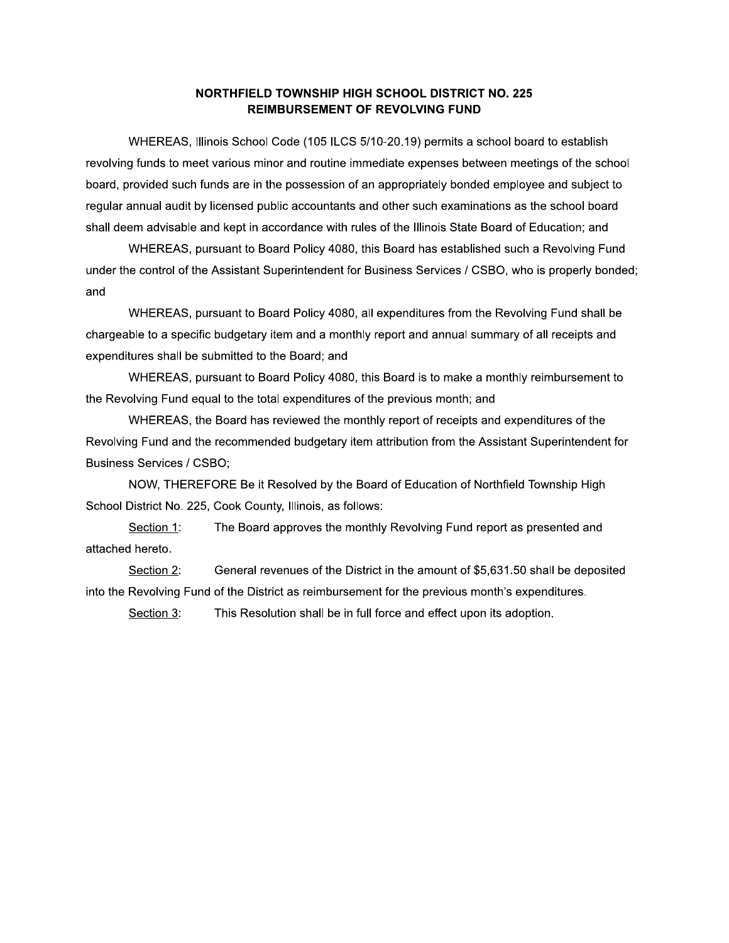## NORTHFIELD TOWNSHIP HIGH SCHOOL DISTRICT NO. 225 **REIMBURSEMENT OF REVOLVING FUND**

WHEREAS, Illinois School Code (105 ILCS 5/10-20.19) permits a school board to establish revolving funds to meet various minor and routine immediate expenses between meetings of the school board, provided such funds are in the possession of an appropriately bonded employee and subject to regular annual audit by licensed public accountants and other such examinations as the school board shall deem advisable and kept in accordance with rules of the Illinois State Board of Education; and

WHEREAS, pursuant to Board Policy 4080, this Board has established such a Revolving Fund under the control of the Assistant Superintendent for Business Services / CSBO, who is properly bonded; and

WHEREAS, pursuant to Board Policy 4080, all expenditures from the Revolving Fund shall be chargeable to a specific budgetary item and a monthly report and annual summary of all receipts and expenditures shall be submitted to the Board; and

WHEREAS, pursuant to Board Policy 4080, this Board is to make a monthly reimbursement to the Revolving Fund equal to the total expenditures of the previous month; and

WHEREAS, the Board has reviewed the monthly report of receipts and expenditures of the Revolving Fund and the recommended budgetary item attribution from the Assistant Superintendent for **Business Services / CSBO;** 

NOW, THEREFORE Be it Resolved by the Board of Education of Northfield Township High School District No. 225, Cook County, Illinois, as follows:

The Board approves the monthly Revolving Fund report as presented and Section 1: attached hereto.

Section 2: General revenues of the District in the amount of \$5,631.50 shall be deposited into the Revolving Fund of the District as reimbursement for the previous month's expenditures.

Section 3: This Resolution shall be in full force and effect upon its adoption.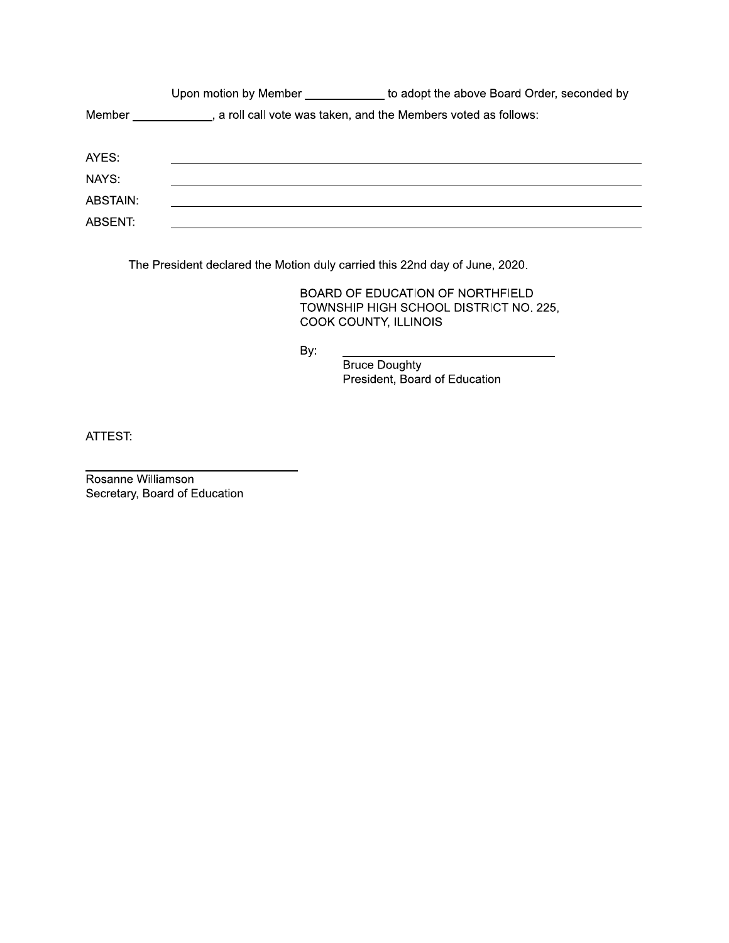|          | Upon motion by Member                                           | to adopt the above Board Order, seconded by |  |
|----------|-----------------------------------------------------------------|---------------------------------------------|--|
| Member   | , a roll call vote was taken, and the Members voted as follows: |                                             |  |
| AYES:    |                                                                 |                                             |  |
| NAYS:    |                                                                 |                                             |  |
| ABSTAIN: |                                                                 |                                             |  |
| ABSENT:  |                                                                 |                                             |  |

The President declared the Motion duly carried this 22nd day of June, 2020.

BOARD OF EDUCATION OF NORTHFIELD TOWNSHIP HIGH SCHOOL DISTRICT NO. 225, COOK COUNTY, ILLINOIS

By:

Bruce Doughty President, Board of Education

ATTEST:

Rosanne Williamson Secretary, Board of Education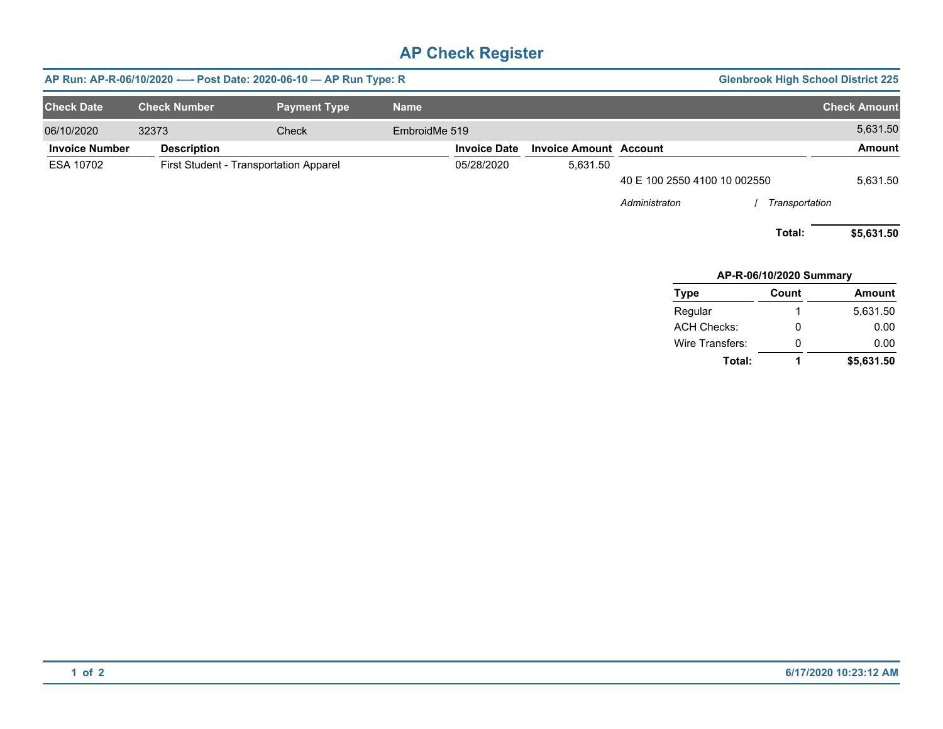# **AP Check Register**

| AP Run: AP-R-06/10/2020 ---- Post Date: 2020-06-10 - AP Run Type: R<br><b>Glenbrook High School District 225</b> |                     |                                        |               |                     |                               |                              |                         |                     |
|------------------------------------------------------------------------------------------------------------------|---------------------|----------------------------------------|---------------|---------------------|-------------------------------|------------------------------|-------------------------|---------------------|
| <b>Check Date</b>                                                                                                | <b>Check Number</b> | <b>Payment Type</b>                    | <b>Name</b>   |                     |                               |                              |                         | <b>Check Amount</b> |
| 06/10/2020                                                                                                       | 32373               | <b>Check</b>                           | EmbroidMe 519 |                     |                               |                              |                         | 5,631.50            |
| <b>Invoice Number</b>                                                                                            | <b>Description</b>  |                                        |               | <b>Invoice Date</b> | <b>Invoice Amount Account</b> |                              |                         | Amount              |
| ESA 10702                                                                                                        |                     | First Student - Transportation Apparel |               | 05/28/2020          | 5,631.50                      |                              |                         |                     |
|                                                                                                                  |                     |                                        |               |                     |                               | 40 E 100 2550 4100 10 002550 |                         | 5,631.50            |
|                                                                                                                  |                     |                                        |               |                     |                               | Administraton                | Transportation          |                     |
|                                                                                                                  |                     |                                        |               |                     |                               |                              | Total:                  | \$5,631.50          |
|                                                                                                                  |                     |                                        |               |                     |                               |                              | AP-R-06/10/2020 Summary |                     |
|                                                                                                                  |                     |                                        |               |                     |                               | Type                         | Count                   | <b>Amount</b>       |
|                                                                                                                  |                     |                                        |               |                     |                               | Regular                      |                         | 5,631.50            |
|                                                                                                                  |                     |                                        |               |                     |                               | <b>ACH Checks:</b>           | 0                       | 0.00                |

**Total:**

0 **1**

**\$5,631.50**

0.00

Wire Transfers: